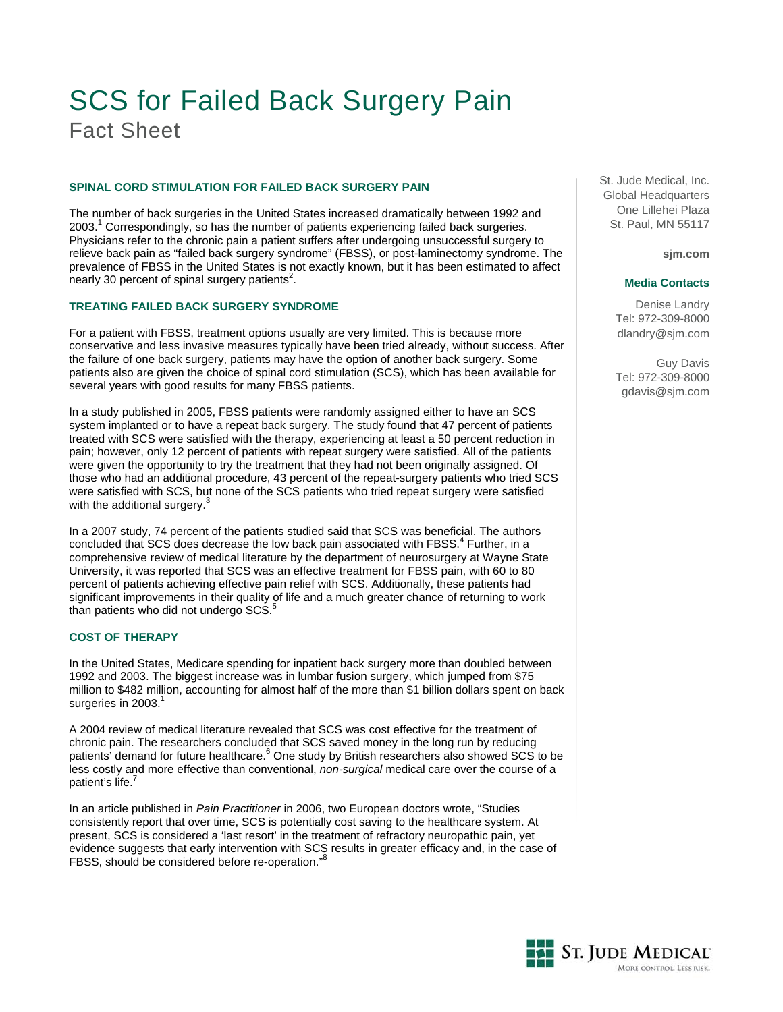# SCS for Failed Back Surgery Pain Fact Sheet

# **SPINAL CORD STIMULATION FOR FAILED BACK SURGERY PAIN**

The number of back surgeries in the United States increased dramatically between 1992 and 2003.<sup>1</sup> Correspondingly, so has the number of patients experiencing failed back surgeries. Physicians refer to the chronic pain a patient suffers after undergoing unsuccessful surgery to relieve back pain as "failed back surgery syndrome" (FBSS), or post-laminectomy syndrome. The prevalence of FBSS in the United States is not exactly known, but it has been estimated to affect .<br>nearly 30 percent of spinal surgery patients<sup>2</sup>.

# **TREATING FAILED BACK SURGERY SYNDROME**

For a patient with FBSS, treatment options usually are very limited. This is because more conservative and less invasive measures typically have been tried already, without success. After the failure of one back surgery, patients may have the option of another back surgery. Some patients also are given the choice of spinal cord stimulation (SCS), which has been available for several years with good results for many FBSS patients.

In a study published in 2005, FBSS patients were randomly assigned either to have an SCS system implanted or to have a repeat back surgery. The study found that 47 percent of patients treated with SCS were satisfied with the therapy, experiencing at least a 50 percent reduction in pain; however, only 12 percent of patients with repeat surgery were satisfied. All of the patients were given the opportunity to try the treatment that they had not been originally assigned. Of those who had an additional procedure, 43 percent of the repeat-surgery patients who tried SCS were satisfied with SCS, but none of the SCS patients who tried repeat surgery were satisfied with the additional surgery.<sup>3</sup>

In a 2007 study, 74 percent of the patients studied said that SCS was beneficial. The authors concluded that SCS does decrease the low back pain associated with FBSS.<sup>4</sup> Further, in a comprehensive review of medical literature by the department of neurosurgery at Wayne State University, it was reported that SCS was an effective treatment for FBSS pain, with 60 to 80 percent of patients achieving effective pain relief with SCS. Additionally, these patients had significant improvements in their quality of life and a much greater chance of returning to work than patients who did not undergo SCS.<sup>5</sup>

# **COST OF THERAPY**

In the United States, Medicare spending for inpatient back surgery more than doubled between 1992 and 2003. The biggest increase was in lumbar fusion surgery, which jumped from \$75 million to \$482 million, accounting for almost half of the more than \$1 billion dollars spent on back surgeries in 2003. $1$ 

A 2004 review of medical literature revealed that SCS was cost effective for the treatment of chronic pain. The researchers concluded that SCS saved money in the long run by reducing patients' demand for future healthcare.<sup>6</sup> One study by British researchers also showed SCS to be less costly and more effective than conventional, *non-surgical* medical care over the course of a patient's life.

In an article published in *Pain Practitioner* in 2006, two European doctors wrote, "Studies consistently report that over time, SCS is potentially cost saving to the healthcare system. At present, SCS is considered a 'last resort' in the treatment of refractory neuropathic pain, yet evidence suggests that early intervention with SCS results in greater efficacy and, in the case of FBSS, should be considered before re-operation."

St. Jude Medical, Inc. Global Headquarters One Lillehei Plaza St. Paul, MN 55117

**sjm.com**

## **Media Contacts**

Denise Landry Tel: 972-309-8000 dlandry@sjm.com

Guy Davis Tel: 972-309-8000 gdavis@sjm.com